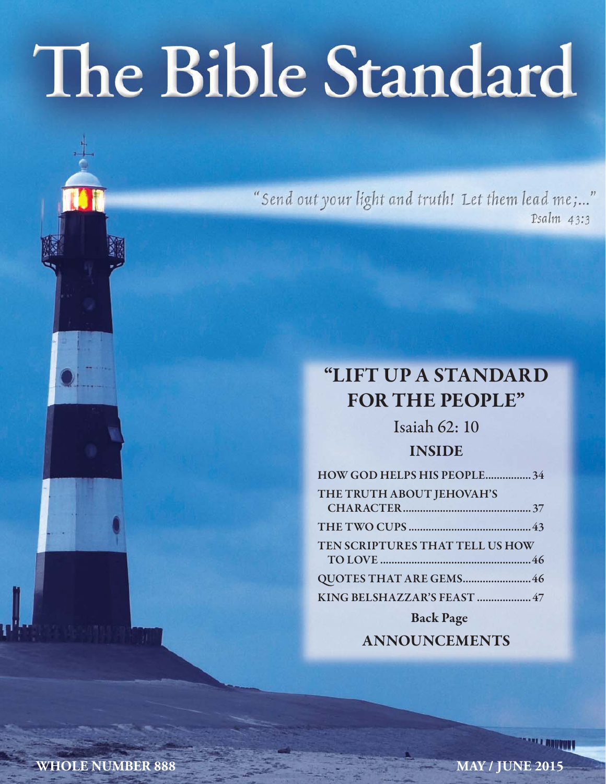# The Bible Standard

"Send out your light and truth! Let them lead me;..." Psalm 43:3

# **"LIFT UP A STANDARD FOR THE PEOPLE"**

Isaiah 62: 10 **INSIDE**

| HOW GOD HELPS HIS PEOPLE34      |
|---------------------------------|
| THE TRUTH ABOUT JEHOVAH'S       |
|                                 |
| TEN SCRIPTURES THAT TELL US HOW |
| QUOTES THAT ARE GEMS46          |
| KING BELSHAZZAR'S FEAST  47     |
| <b>Back Page</b>                |

**ANNOUNCEMENTS**

**WHOLE NUMBER 888** MAY / JUNE 2015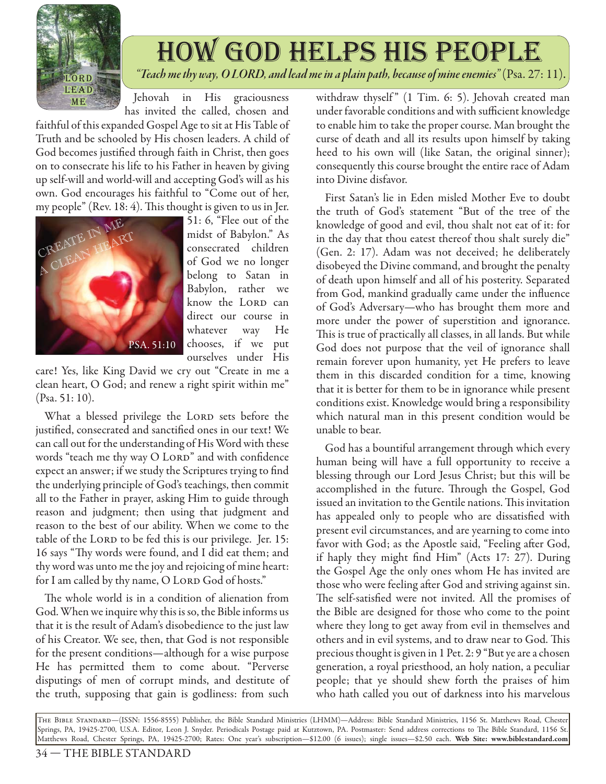

# how god helps his people *"Teach me thy way, O LORD, and lead me in a plain path, because of mine enemies"* (Psa. 27: 11).

Jehovah in His graciousness has invited the called, chosen and

faithful of this expanded Gospel Age to sit at His Table of Truth and be schooled by His chosen leaders. A child of God becomes justified through faith in Christ, then goes on to consecrate his life to his Father in heaven by giving up self-will and world-will and accepting God's will as his own. God encourages his faithful to "Come out of her, my people" (Rev. 18:  $4$ ). This thought is given to us in Jer.



51: 6, "Flee out of the midst of Babylon." As consecrated children of God we no longer belong to Satan in Babylon, rather we know the LORD can direct our course in whatever way He chooses, if we put ourselves under His

care! Yes, like King David we cry out "Create in me a clean heart, O God; and renew a right spirit within me" (Psa. 51: 10).

What a blessed privilege the LORD sets before the justified, consecrated and sanctified ones in our text! We can call out for the understanding of His Word with these words "teach me thy way O LORD" and with confidence expect an answer; if we study the Scriptures trying to find the underlying principle of God's teachings, then commit all to the Father in prayer, asking Him to guide through reason and judgment; then using that judgment and reason to the best of our ability. When we come to the table of the LORD to be fed this is our privilege. Jer. 15: 16 says "Thy words were found, and I did eat them; and thy word was unto me the joy and rejoicing of mine heart: for I am called by thy name, O LORD God of hosts."

The whole world is in a condition of alienation from God. When we inquire why this is so, the Bible informs us that it is the result of Adam's disobedience to the just law of his Creator. We see, then, that God is not responsible for the present conditions—although for a wise purpose He has permitted them to come about. "Perverse disputings of men of corrupt minds, and destitute of the truth, supposing that gain is godliness: from such

withdraw thyself" (1 Tim. 6: 5). Jehovah created man under favorable conditions and with sufficient knowledge to enable him to take the proper course. Man brought the curse of death and all its results upon himself by taking heed to his own will (like Satan, the original sinner); consequently this course brought the entire race of Adam into Divine disfavor.

First Satan's lie in Eden misled Mother Eve to doubt the truth of God's statement "But of the tree of the knowledge of good and evil, thou shalt not eat of it: for in the day that thou eatest thereof thou shalt surely die" (Gen. 2: 17). Adam was not deceived; he deliberately disobeyed the Divine command, and brought the penalty of death upon himself and all of his posterity. Separated from God, mankind gradually came under the influence of God's Adversary—who has brought them more and more under the power of superstition and ignorance. This is true of practically all classes, in all lands. But while God does not purpose that the veil of ignorance shall remain forever upon humanity, yet He prefers to leave them in this discarded condition for a time, knowing that it is better for them to be in ignorance while present conditions exist. Knowledge would bring a responsibility which natural man in this present condition would be unable to bear.

God has a bountiful arrangement through which every human being will have a full opportunity to receive a blessing through our Lord Jesus Christ; but this will be accomplished in the future. Through the Gospel, God issued an invitation to the Gentile nations. This invitation has appealed only to people who are dissatisfied with present evil circumstances, and are yearning to come into favor with God; as the Apostle said, "Feeling after God, if haply they might find Him" (Acts  $17: 27$ ). During the Gospel Age the only ones whom He has invited are those who were feeling after God and striving against sin. The self-satisfied were not invited. All the promises of the Bible are designed for those who come to the point where they long to get away from evil in themselves and others and in evil systems, and to draw near to God. This precious thought is given in 1 Pet. 2: 9 "But ye are a chosen generation, a royal priesthood, an holy nation, a peculiar people; that ye should shew forth the praises of him who hath called you out of darkness into his marvelous

The Bible Standard—(ISSN: 1556-8555) Publisher, the Bible Standard Ministries (LHMM)—Address: Bible Standard Ministries, 1156 St. Matthews Road, Chester Springs, PA, 19425-2700, U.S.A. Editor, Leon J. Snyder. Periodicals Postage paid at Kutztown, PA. Postmaster: Send address corrections to Th e Bible Standard, 1156 St. Matthews Road, Chester Springs, PA, 19425-2700; Rates: One year's subscription—\$12.00 (6 issues); single issues—\$2.50 each. **Web Site: www.biblestandard.com**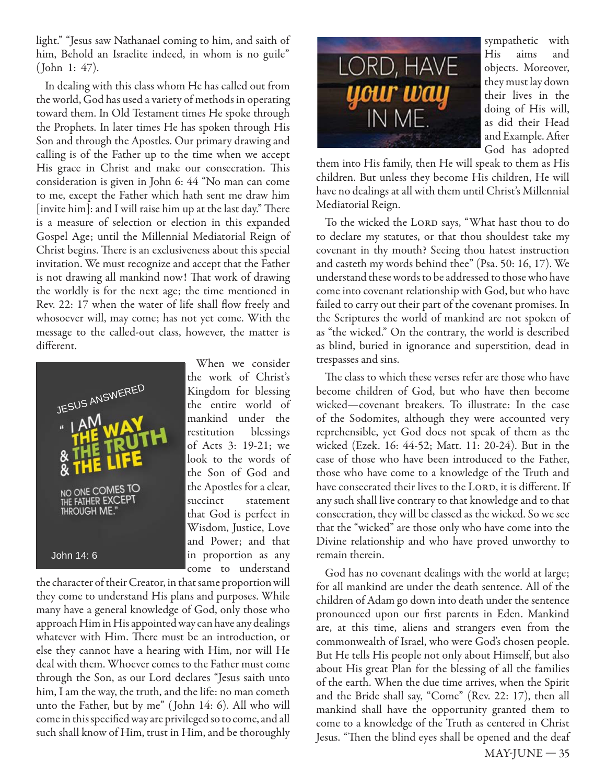light." "Jesus saw Nathanael coming to him, and saith of him, Behold an Israelite indeed, in whom is no guile" ( John 1: 47).

In dealing with this class whom He has called out from the world, God has used a variety of methods in operating toward them. In Old Testament times He spoke through the Prophets. In later times He has spoken through His Son and through the Apostles. Our primary drawing and calling is of the Father up to the time when we accept His grace in Christ and make our consecration. This consideration is given in John 6: 44 "No man can come to me, except the Father which hath sent me draw him [invite him]: and I will raise him up at the last day." There is a measure of selection or election in this expanded Gospel Age; until the Millennial Mediatorial Reign of Christ begins. There is an exclusiveness about this special invitation. We must recognize and accept that the Father is not drawing all mankind now! That work of drawing the worldly is for the next age; the time mentioned in Rev. 22: 17 when the water of life shall flow freely and whosoever will, may come; has not yet come. With the message to the called-out class, however, the matter is different.



When we consider the work of Christ's Kingdom for blessing the entire world of mankind under the restitution blessings of Acts 3: 19-21; we look to the words of the Son of God and the Apostles for a clear, succinct statement that God is perfect in Wisdom, Justice, Love and Power; and that in proportion as any come to understand

the character of their Creator, in that same proportion will they come to understand His plans and purposes. While many have a general knowledge of God, only those who approach Him in His appointed way can have any dealings whatever with Him. There must be an introduction, or else they cannot have a hearing with Him, nor will He deal with them. Whoever comes to the Father must come through the Son, as our Lord declares "Jesus saith unto him, I am the way, the truth, and the life: no man cometh unto the Father, but by me" ( John 14: 6). All who will come in this specified way are privileged so to come, and all such shall know of Him, trust in Him, and be thoroughly



sympathetic with His aims and objects. Moreover, they must lay down their lives in the doing of His will, as did their Head and Example. After God has adopted

them into His family, then He will speak to them as His children. But unless they become His children, He will have no dealings at all with them until Christ's Millennial Mediatorial Reign.

To the wicked the LORD says, "What hast thou to do to declare my statutes, or that thou shouldest take my covenant in thy mouth? Seeing thou hatest instruction and casteth my words behind thee" (Psa. 50: 16, 17). We understand these words to be addressed to those who have come into covenant relationship with God, but who have failed to carry out their part of the covenant promises. In the Scriptures the world of mankind are not spoken of as "the wicked." On the contrary, the world is described as blind, buried in ignorance and superstition, dead in trespasses and sins.

The class to which these verses refer are those who have become children of God, but who have then become wicked—covenant breakers. To illustrate: In the case of the Sodomites, although they were accounted very reprehensible, yet God does not speak of them as the wicked (Ezek. 16: 44-52; Matt. 11: 20-24). But in the case of those who have been introduced to the Father, those who have come to a knowledge of the Truth and have consecrated their lives to the LORD, it is different. If any such shall live contrary to that knowledge and to that consecration, they will be classed as the wicked. So we see that the "wicked" are those only who have come into the Divine relationship and who have proved unworthy to remain therein.

God has no covenant dealings with the world at large; for all mankind are under the death sentence. All of the children of Adam go down into death under the sentence pronounced upon our first parents in Eden. Mankind are, at this time, aliens and strangers even from the commonwealth of Israel, who were God's chosen people. But He tells His people not only about Himself, but also about His great Plan for the blessing of all the families of the earth. When the due time arrives, when the Spirit and the Bride shall say, "Come" (Rev. 22: 17), then all mankind shall have the opportunity granted them to come to a knowledge of the Truth as centered in Christ Jesus. "Then the blind eyes shall be opened and the deaf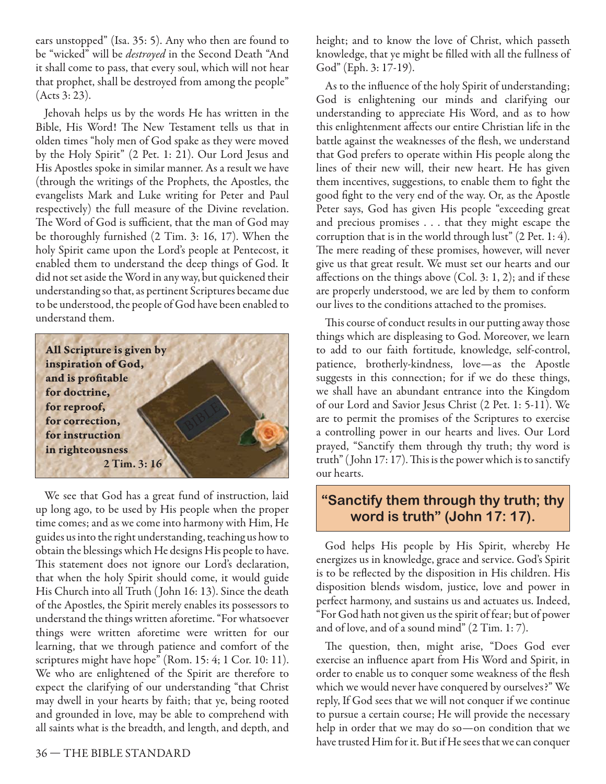ears unstopped" (Isa. 35: 5). Any who then are found to be "wicked" will be *destroyed* in the Second Death "And it shall come to pass, that every soul, which will not hear that prophet, shall be destroyed from among the people" (Acts 3: 23).

Jehovah helps us by the words He has written in the Bible, His Word! The New Testament tells us that in olden times "holy men of God spake as they were moved by the Holy Spirit" (2 Pet. 1: 21). Our Lord Jesus and His Apostles spoke in similar manner. As a result we have (through the writings of the Prophets, the Apostles, the evangelists Mark and Luke writing for Peter and Paul respectively) the full measure of the Divine revelation. The Word of God is sufficient, that the man of God may be thoroughly furnished (2 Tim. 3: 16, 17). When the holy Spirit came upon the Lord's people at Pentecost, it enabled them to understand the deep things of God. It did not set aside the Word in any way, but quickened their understanding so that, as pertinent Scriptures became due to be understood, the people of God have been enabled to understand them.



We see that God has a great fund of instruction, laid up long ago, to be used by His people when the proper time comes; and as we come into harmony with Him, He guides us into the right understanding, teaching us how to obtain the blessings which He designs His people to have. This statement does not ignore our Lord's declaration, that when the holy Spirit should come, it would guide His Church into all Truth ( John 16: 13). Since the death of the Apostles, the Spirit merely enables its possessors to understand the things written aforetime. "For whatsoever things were written aforetime were written for our learning, that we through patience and comfort of the scriptures might have hope" (Rom. 15: 4; 1 Cor. 10: 11). We who are enlightened of the Spirit are therefore to expect the clarifying of our understanding "that Christ may dwell in your hearts by faith; that ye, being rooted and grounded in love, may be able to comprehend with all saints what is the breadth, and length, and depth, and

height; and to know the love of Christ, which passeth knowledge, that ye might be filled with all the fullness of God" (Eph. 3: 17-19).

As to the influence of the holy Spirit of understanding; God is enlightening our minds and clarifying our understanding to appreciate His Word, and as to how this enlightenment affects our entire Christian life in the battle against the weaknesses of the flesh, we understand that God prefers to operate within His people along the lines of their new will, their new heart. He has given them incentives, suggestions, to enable them to fight the good fight to the very end of the way. Or, as the Apostle Peter says, God has given His people "exceeding great and precious promises . . . that they might escape the corruption that is in the world through lust" (2 Pet. 1: 4). The mere reading of these promises, however, will never give us that great result. We must set our hearts and our affections on the things above  $(Col. 3: 1, 2)$ ; and if these are properly understood, we are led by them to conform our lives to the conditions attached to the promises.

This course of conduct results in our putting away those things which are displeasing to God. Moreover, we learn to add to our faith fortitude, knowledge, self-control, patience, brotherly-kindness, love—as the Apostle suggests in this connection; for if we do these things, we shall have an abundant entrance into the Kingdom of our Lord and Savior Jesus Christ (2 Pet. 1: 5-11). We are to permit the promises of the Scriptures to exercise a controlling power in our hearts and lives. Our Lord prayed, "Sanctify them through thy truth; thy word is truth" (John  $17:17$ ). This is the power which is to sanctify our hearts.

### **"Sanctify them through thy truth; thy word is truth" (John 17: 17).**

God helps His people by His Spirit, whereby He energizes us in knowledge, grace and service. God's Spirit is to be reflected by the disposition in His children. His disposition blends wisdom, justice, love and power in perfect harmony, and sustains us and actuates us. Indeed, "For God hath not given us the spirit of fear; but of power and of love, and of a sound mind" (2 Tim. 1: 7).

The question, then, might arise, "Does God ever exercise an influence apart from His Word and Spirit, in order to enable us to conquer some weakness of the flesh which we would never have conquered by ourselves?" We reply, If God sees that we will not conquer if we continue to pursue a certain course; He will provide the necessary help in order that we may do so—on condition that we have trusted Him for it. But if He sees that we can conquer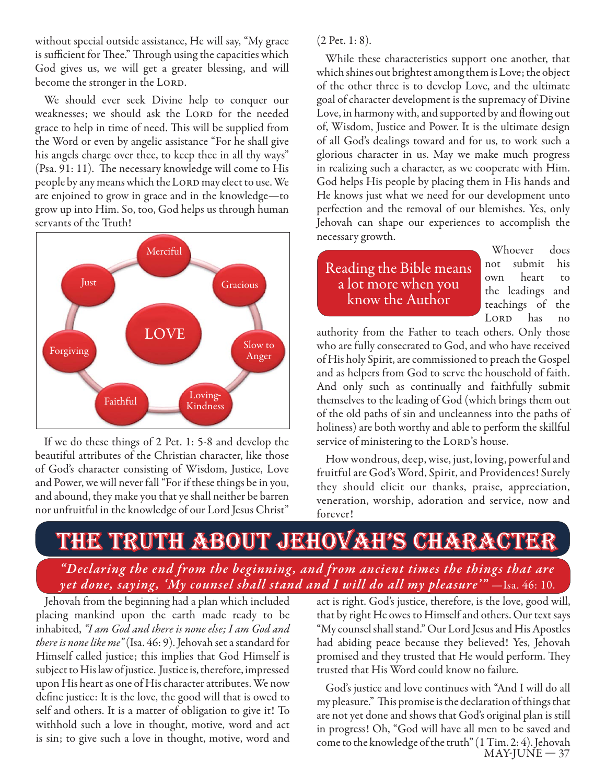without special outside assistance, He will say, "My grace is sufficient for Thee." Through using the capacities which God gives us, we will get a greater blessing, and will become the stronger in the LORD.

We should ever seek Divine help to conquer our weaknesses; we should ask the LORD for the needed grace to help in time of need. This will be supplied from the Word or even by angelic assistance "For he shall give his angels charge over thee, to keep thee in all thy ways" (Psa. 91: 11). The necessary knowledge will come to His people by any means which the LORD may elect to use. We are enjoined to grow in grace and in the knowledge—to grow up into Him. So, too, God helps us through human servants of the Truth!



If we do these things of 2 Pet. 1: 5-8 and develop the beautiful attributes of the Christian character, like those of God's character consisting of Wisdom, Justice, Love and Power, we will never fall "For if these things be in you, and abound, they make you that ye shall neither be barren nor unfruitful in the knowledge of our Lord Jesus Christ"

(2 Pet. 1: 8).

While these characteristics support one another, that which shines out brightest among them is Love; the object of the other three is to develop Love, and the ultimate goal of character development is the supremacy of Divine Love, in harmony with, and supported by and flowing out of, Wisdom, Justice and Power. It is the ultimate design of all God's dealings toward and for us, to work such a glorious character in us. May we make much progress in realizing such a character, as we cooperate with Him. God helps His people by placing them in His hands and He knows just what we need for our development unto perfection and the removal of our blemishes. Yes, only Jehovah can shape our experiences to accomplish the necessary growth.

# Reading the Bible means a lot more when you know the Author

Whoever does not submit his own heart to the leadings and teachings of the LORD has no

authority from the Father to teach others. Only those who are fully consecrated to God, and who have received of His holy Spirit, are commissioned to preach the Gospel and as helpers from God to serve the household of faith. And only such as continually and faithfully submit themselves to the leading of God (which brings them out of the old paths of sin and uncleanness into the paths of holiness) are both worthy and able to perform the skillful service of ministering to the LORD's house.

How wondrous, deep, wise, just, loving, powerful and fruitful are God's Word, Spirit, and Providences! Surely they should elicit our thanks, praise, appreciation, veneration, worship, adoration and service, now and forever!

# the truth about jehovah's character

"Declaring the end from the beginning, and from ancient times the things that are *yet done, saying, 'My counsel shall stand and I will do all my pleasure'"* - Isa. 46: 10.

Jehovah from the beginning had a plan which included placing mankind upon the earth made ready to be inhabited, *"I am God and there is none else; I am God and there is none like me"* (Isa. 46: 9). Jehovah set a standard for Himself called justice; this implies that God Himself is subject to His law of justice. Justice is, therefore, impressed upon His heart as one of His character attributes. We now define justice: It is the love, the good will that is owed to self and others. It is a matter of obligation to give it! To withhold such a love in thought, motive, word and act is sin; to give such a love in thought, motive, word and

act is right. God's justice, therefore, is the love, good will, that by right He owes to Himself and others. Our text says "My counsel shall stand." Our Lord Jesus and His Apostles had abiding peace because they believed! Yes, Jehovah promised and they trusted that He would perform. They trusted that His Word could know no failure.

 $MAY-JUNE-37$ God's justice and love continues with "And I will do all my pleasure." This promise is the declaration of things that are not yet done and shows that God's original plan is still in progress! Oh, "God will have all men to be saved and come to the knowledge of the truth" (1 Tim. 2: 4). Jehovah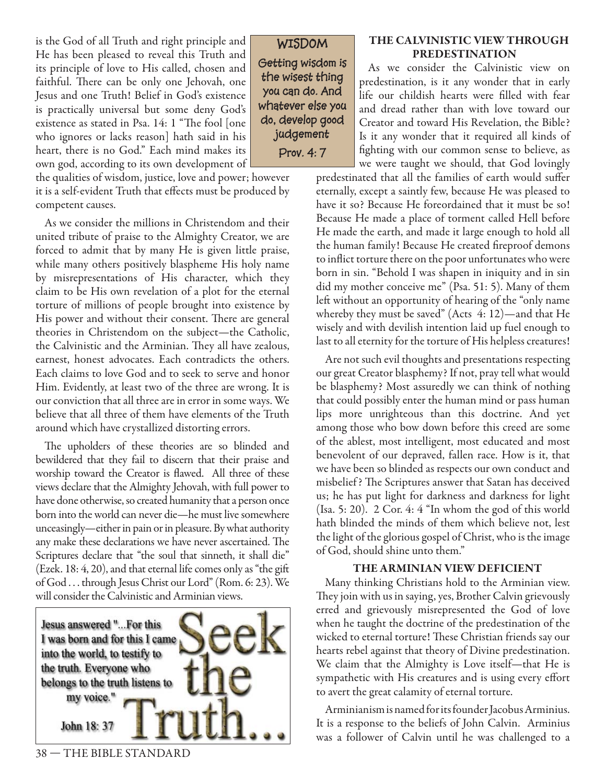is the God of all Truth and right principle and He has been pleased to reveal this Truth and its principle of love to His called, chosen and faithful. There can be only one Jehovah, one Jesus and one Truth! Belief in God's existence is practically universal but some deny God's existence as stated in Psa. 14: 1 "The fool [one who ignores or lacks reason] hath said in his heart, there is no God." Each mind makes its own god, according to its own development of

the qualities of wisdom, justice, love and power; however it is a self-evident Truth that effects must be produced by competent causes.

As we consider the millions in Christendom and their united tribute of praise to the Almighty Creator, we are forced to admit that by many He is given little praise, while many others positively blaspheme His holy name by misrepresentations of His character, which they claim to be His own revelation of a plot for the eternal torture of millions of people brought into existence by His power and without their consent. There are general theories in Christendom on the subject—the Catholic, the Calvinistic and the Arminian. They all have zealous, earnest, honest advocates. Each contradicts the others. Each claims to love God and to seek to serve and honor Him. Evidently, at least two of the three are wrong. It is our conviction that all three are in error in some ways. We believe that all three of them have elements of the Truth around which have crystallized distorting errors.

The upholders of these theories are so blinded and bewildered that they fail to discern that their praise and worship toward the Creator is flawed. All three of these views declare that the Almighty Jehovah, with full power to have done otherwise, so created humanity that a person once born into the world can never die—he must live somewhere unceasingly—either in pain or in pleasure. By what authority any make these declarations we have never ascertained. The Scriptures declare that "the soul that sinneth, it shall die" (Ezek. 18: 4, 20), and that eternal life comes only as "the gift of God . . . through Jesus Christ our Lord" (Rom. 6: 23). We will consider the Calvinistic and Arminian views.



**WISDOM**

**Getting wisdom is the wisest thing you can do. And whatever else you do, develop good judgement Prov. 4: 7**

### **THE CALVINISTIC VIEW THROUGH PREDESTINATION**

As we consider the Calvinistic view on predestination, is it any wonder that in early life our childish hearts were filled with fear and dread rather than with love toward our Creator and toward His Revelation, the Bible? Is it any wonder that it required all kinds of fighting with our common sense to believe, as we were taught we should, that God lovingly

predestinated that all the families of earth would suffer eternally, except a saintly few, because He was pleased to have it so? Because He foreordained that it must be so! Because He made a place of torment called Hell before He made the earth, and made it large enough to hold all the human family! Because He created fireproof demons to inflict torture there on the poor unfortunates who were born in sin. "Behold I was shapen in iniquity and in sin did my mother conceive me" (Psa. 51: 5). Many of them left without an opportunity of hearing of the "only name whereby they must be saved" (Acts 4: 12)—and that He wisely and with devilish intention laid up fuel enough to last to all eternity for the torture of His helpless creatures!

Are not such evil thoughts and presentations respecting our great Creator blasphemy? If not, pray tell what would be blasphemy? Most assuredly we can think of nothing that could possibly enter the human mind or pass human lips more unrighteous than this doctrine. And yet among those who bow down before this creed are some of the ablest, most intelligent, most educated and most benevolent of our depraved, fallen race. How is it, that we have been so blinded as respects our own conduct and misbelief? The Scriptures answer that Satan has deceived us; he has put light for darkness and darkness for light (Isa. 5: 20). 2 Cor. 4: 4 "In whom the god of this world hath blinded the minds of them which believe not, lest the light of the glorious gospel of Christ, who is the image of God, should shine unto them."

### **THE ARMINIAN VIEW DEFICIENT**

Many thinking Christians hold to the Arminian view. They join with us in saying, yes, Brother Calvin grievously erred and grievously misrepresented the God of love when he taught the doctrine of the predestination of the wicked to eternal torture! These Christian friends say our hearts rebel against that theory of Divine predestination. We claim that the Almighty is Love itself—that He is sympathetic with His creatures and is using every effort to avert the great calamity of eternal torture.

Arminianism is named for its founder Jacobus Arminius. It is a response to the beliefs of John Calvin. Arminius was a follower of Calvin until he was challenged to a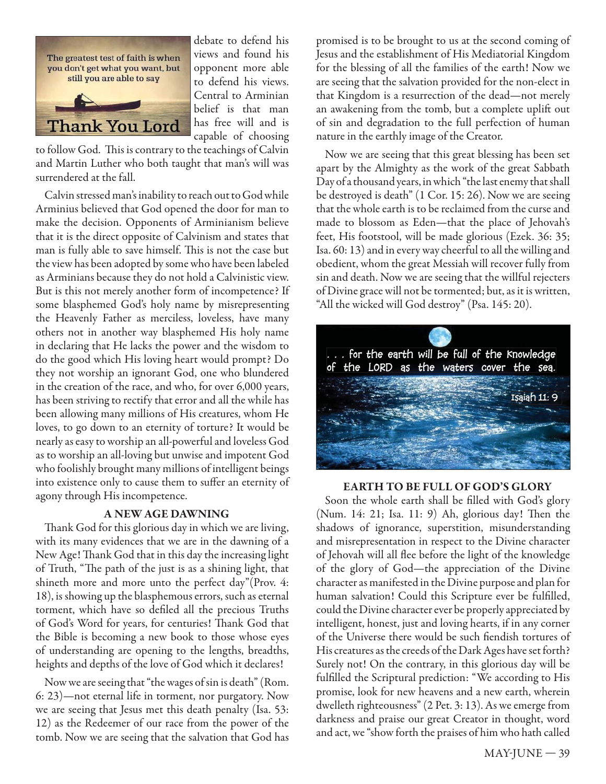

debate to defend his views and found his opponent more able to defend his views. Central to Arminian belief is that man has free will and is capable of choosing

to follow God. This is contrary to the teachings of Calvin and Martin Luther who both taught that man's will was surrendered at the fall.

Calvin stressed man's inability to reach out to God while Arminius believed that God opened the door for man to make the decision. Opponents of Arminianism believe that it is the direct opposite of Calvinism and states that man is fully able to save himself. This is not the case but the view has been adopted by some who have been labeled as Arminians because they do not hold a Calvinistic view. But is this not merely another form of incompetence? If some blasphemed God's holy name by misrepresenting the Heavenly Father as merciless, loveless, have many others not in another way blasphemed His holy name in declaring that He lacks the power and the wisdom to do the good which His loving heart would prompt? Do they not worship an ignorant God, one who blundered in the creation of the race, and who, for over 6,000 years, has been striving to rectify that error and all the while has been allowing many millions of His creatures, whom He loves, to go down to an eternity of torture? It would be nearly as easy to worship an all-powerful and loveless God as to worship an all-loving but unwise and impotent God who foolishly brought many millions of intelligent beings into existence only to cause them to suffer an eternity of agony through His incompetence.

### **A NEW AGE DAWNING**

Thank God for this glorious day in which we are living, with its many evidences that we are in the dawning of a New Age! Thank God that in this day the increasing light of Truth, "The path of the just is as a shining light, that shineth more and more unto the perfect day"(Prov. 4: 18), is showing up the blasphemous errors, such as eternal torment, which have so defiled all the precious Truths of God's Word for years, for centuries! Thank God that the Bible is becoming a new book to those whose eyes of understanding are opening to the lengths, breadths, heights and depths of the love of God which it declares!

Now we are seeing that "the wages of sin is death" (Rom. 6: 23)—not eternal life in torment, nor purgatory. Now we are seeing that Jesus met this death penalty (Isa. 53: 12) as the Redeemer of our race from the power of the tomb. Now we are seeing that the salvation that God has

promised is to be brought to us at the second coming of Jesus and the establishment of His Mediatorial Kingdom for the blessing of all the families of the earth! Now we are seeing that the salvation provided for the non-elect in that Kingdom is a resurrection of the dead—not merely an awakening from the tomb, but a complete uplift out of sin and degradation to the full perfection of human nature in the earthly image of the Creator.

Now we are seeing that this great blessing has been set apart by the Almighty as the work of the great Sabbath Day of a thousand years, in which "the last enemy that shall be destroyed is death" (1 Cor. 15: 26). Now we are seeing that the whole earth is to be reclaimed from the curse and made to blossom as Eden—that the place of Jehovah's feet, His footstool, will be made glorious (Ezek. 36: 35; Isa. 60: 13) and in every way cheerful to all the willing and obedient, whom the great Messiah will recover fully from sin and death. Now we are seeing that the willful rejecters of Divine grace will not be tormented; but, as it is written, "All the wicked will God destroy" (Psa. 145: 20).



### **EARTH TO BE FULL OF GOD'S GLORY**

Soon the whole earth shall be filled with God's glory (Num. 14: 21; Isa. 11: 9) Ah, glorious day! Then the shadows of ignorance, superstition, misunderstanding and misrepresentation in respect to the Divine character of Jehovah will all flee before the light of the knowledge of the glory of God—the appreciation of the Divine character as manifested in the Divine purpose and plan for human salvation! Could this Scripture ever be fulfilled, could the Divine character ever be properly appreciated by intelligent, honest, just and loving hearts, if in any corner of the Universe there would be such fiendish tortures of His creatures as the creeds of the Dark Ages have set forth? Surely not! On the contrary, in this glorious day will be fulfilled the Scriptural prediction: "We according to His promise, look for new heavens and a new earth, wherein dwelleth righteousness" (2 Pet. 3: 13). As we emerge from darkness and praise our great Creator in thought, word and act, we "show forth the praises of him who hath called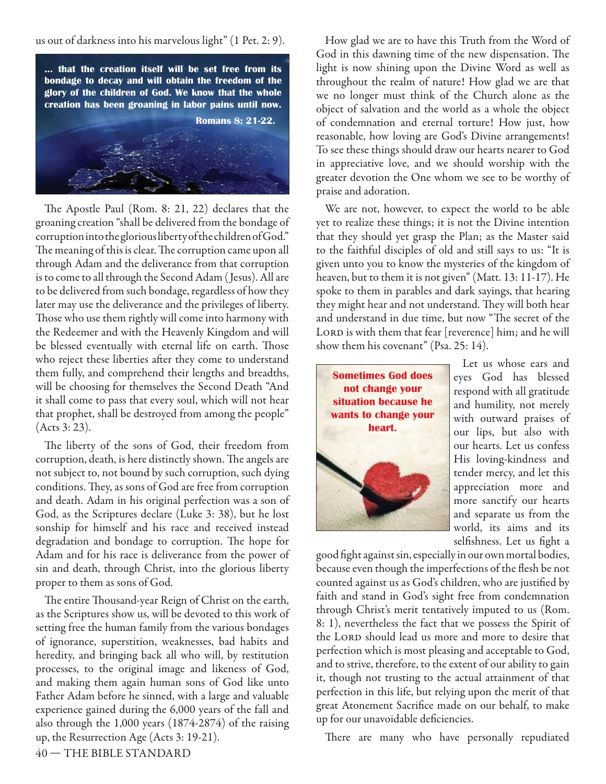us out of darkness into his marvelous light" (1 Pet. 2: 9).



The Apostle Paul (Rom. 8: 21, 22) declares that the groaning creation "shall be delivered from the bondage of corruption into the glorious liberty of the children of God." The meaning of this is clear. The corruption came upon all through Adam and the deliverance from that corruption is to come to all through the Second Adam ( Jesus). All are to be delivered from such bondage, regardless of how they later may use the deliverance and the privileges of liberty. Those who use them rightly will come into harmony with the Redeemer and with the Heavenly Kingdom and will be blessed eventually with eternal life on earth. Those who reject these liberties after they come to understand them fully, and comprehend their lengths and breadths, will be choosing for themselves the Second Death "And it shall come to pass that every soul, which will not hear that prophet, shall be destroyed from among the people" (Acts 3: 23).

The liberty of the sons of God, their freedom from corruption, death, is here distinctly shown. The angels are not subject to, not bound by such corruption, such dying conditions. They, as sons of God are free from corruption and death. Adam in his original perfection was a son of God, as the Scriptures declare (Luke 3: 38), but he lost sonship for himself and his race and received instead degradation and bondage to corruption. The hope for Adam and for his race is deliverance from the power of sin and death, through Christ, into the glorious liberty proper to them as sons of God.

The entire Thousand-year Reign of Christ on the earth, as the Scriptures show us, will be devoted to this work of setting free the human family from the various bondages of ignorance, superstition, weaknesses, bad habits and heredity, and bringing back all who will, by restitution processes, to the original image and likeness of God, and making them again human sons of God like unto Father Adam before he sinned, with a large and valuable experience gained during the 6,000 years of the fall and also through the 1,000 years (1874-2874) of the raising up, the Resurrection Age (Acts 3: 19-21).

How glad we are to have this Truth from the Word of God in this dawning time of the new dispensation. The light is now shining upon the Divine Word as well as throughout the realm of nature! How glad we are that we no longer must think of the Church alone as the object of salvation and the world as a whole the object of condemnation and eternal torture! How just, how reasonable, how loving are God's Divine arrangements! To see these things should draw our hearts nearer to God in appreciative love, and we should worship with the greater devotion the One whom we see to be worthy of praise and adoration.

We are not, however, to expect the world to be able yet to realize these things; it is not the Divine intention that they should yet grasp the Plan; as the Master said to the faithful disciples of old and still says to us: "It is given unto you to know the mysteries of the kingdom of heaven, but to them it is not given" (Matt. 13: 11-17). He spoke to them in parables and dark sayings, that hearing they might hear and not understand. They will both hear and understand in due time, but now "The secret of the LORD is with them that fear [reverence] him; and he will show them his covenant" (Psa. 25: 14).



Let us whose ears and eyes God has blessed respond with all gratitude and humility, not merely with outward praises of our lips, but also with our hearts. Let us confess His loving-kindness and tender mercy, and let this appreciation more and more sanctify our hearts and separate us from the world, its aims and its selfishness. Let us fight a

good fight against sin, especially in our own mortal bodies, because even though the imperfections of the flesh be not counted against us as God's children, who are justified by faith and stand in God's sight free from condemnation through Christ's merit tentatively imputed to us (Rom. 8: 1), nevertheless the fact that we possess the Spirit of the LORD should lead us more and more to desire that perfection which is most pleasing and acceptable to God, and to strive, therefore, to the extent of our ability to gain it, though not trusting to the actual attainment of that perfection in this life, but relying upon the merit of that great Atonement Sacrifice made on our behalf, to make up for our unavoidable deficiencies.

There are many who have personally repudiated

40 — THE BIBLE STANDARD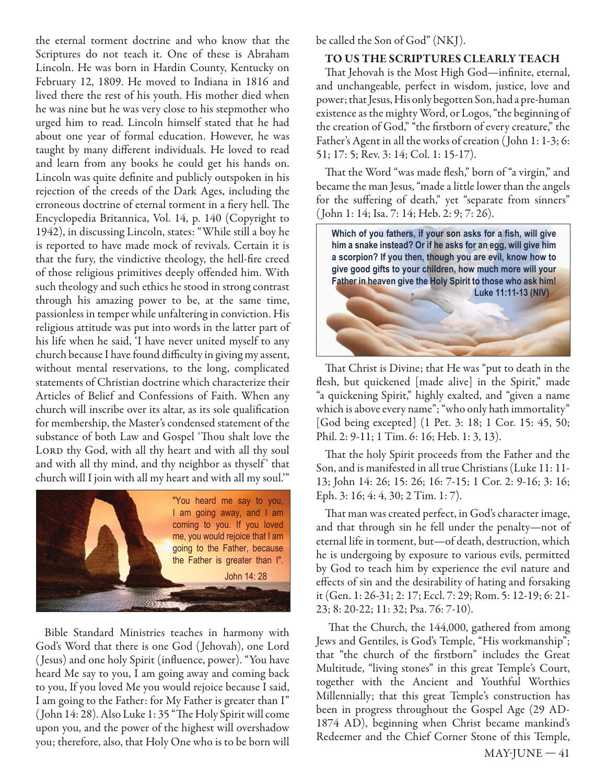the eternal torment doctrine and who know that the Scriptures do not teach it. One of these is Abraham Lincoln. He was born in Hardin County, Kentucky on February 12, 1809. He moved to Indiana in 1816 and lived there the rest of his youth. His mother died when he was nine but he was very close to his stepmother who urged him to read. Lincoln himself stated that he had about one year of formal education. However, he was taught by many different individuals. He loved to read and learn from any books he could get his hands on. Lincoln was quite definite and publicly outspoken in his rejection of the creeds of the Dark Ages, including the erroneous doctrine of eternal torment in a fiery hell. The Encyclopedia Britannica, Vol. 14, p. 140 (Copyright to 1942), in discussing Lincoln, states: "While still a boy he is reported to have made mock of revivals. Certain it is that the fury, the vindictive theology, the hell-fire creed of those religious primitives deeply offended him. With such theology and such ethics he stood in strong contrast through his amazing power to be, at the same time, passionless in temper while unfaltering in conviction. His religious attitude was put into words in the latter part of his life when he said, 'I have never united myself to any church because I have found difficulty in giving my assent, without mental reservations, to the long, complicated statements of Christian doctrine which characterize their Articles of Belief and Confessions of Faith. When any church will inscribe over its altar, as its sole qualification for membership, the Master's condensed statement of the substance of both Law and Gospel 'Thou shalt love the LORD thy God, with all thy heart and with all thy soul and with all thy mind, and thy neighbor as thyself' that church will I join with all my heart and with all my soul.'"



Bible Standard Ministries teaches in harmony with God's Word that there is one God ( Jehovah), one Lord (Jesus) and one holy Spirit (influence, power). "You have heard Me say to you, I am going away and coming back to you, If you loved Me you would rejoice because I said, I am going to the Father: for My Father is greater than I" (John 14: 28). Also Luke 1: 35 "The Holy Spirit will come upon you, and the power of the highest will overshadow you; therefore, also, that Holy One who is to be born will be called the Son of God" (NKJ).

#### **TO US THE SCRIPTURES CLEARLY TEACH**

That Jehovah is the Most High God—infinite, eternal, and unchangeable, perfect in wisdom, justice, love and power; that Jesus, His only begotten Son, had a pre-human existence as the mighty Word, or Logos, "the beginning of the creation of God," "the firstborn of every creature," the Father's Agent in all the works of creation ( John 1: 1-3; 6: 51; 17: 5; Rev. 3: 14; Col. 1: 15-17).

That the Word "was made flesh," born of "a virgin," and became the man Jesus, "made a little lower than the angels for the suffering of death," yet "separate from sinners" ( John 1: 14; Isa. 7: 14; Heb. 2: 9; 7: 26).



That Christ is Divine; that He was "put to death in the flesh, but quickened [made alive] in the Spirit," made "a quickening Spirit," highly exalted, and "given a name which is above every name"; "who only hath immortality" [God being excepted] (1 Pet. 3: 18; 1 Cor. 15: 45, 50; Phil. 2: 9-11; 1 Tim. 6: 16; Heb. 1: 3, 13).

That the holy Spirit proceeds from the Father and the Son, and is manifested in all true Christians (Luke 11: 11- 13; John 14: 26; 15: 26; 16: 7-15; 1 Cor. 2: 9-16; 3: 16; Eph. 3: 16; 4: 4, 30; 2 Tim. 1: 7).

That man was created perfect, in God's character image, and that through sin he fell under the penalty—not of eternal life in torment, but—of death, destruction, which he is undergoing by exposure to various evils, permitted by God to teach him by experience the evil nature and effects of sin and the desirability of hating and forsaking it (Gen. 1: 26-31; 2: 17; Eccl. 7: 29; Rom. 5: 12-19; 6: 21- 23; 8: 20-22; 11: 32; Psa. 76: 7-10).

That the Church, the 144,000, gathered from among Jews and Gentiles, is God's Temple, "His workmanship"; that "the church of the firstborn" includes the Great Multitude, "living stones" in this great Temple's Court, together with the Ancient and Youthful Worthies Millennially; that this great Temple's construction has been in progress throughout the Gospel Age (29 AD-1874 AD), beginning when Christ became mankind's Redeemer and the Chief Corner Stone of this Temple,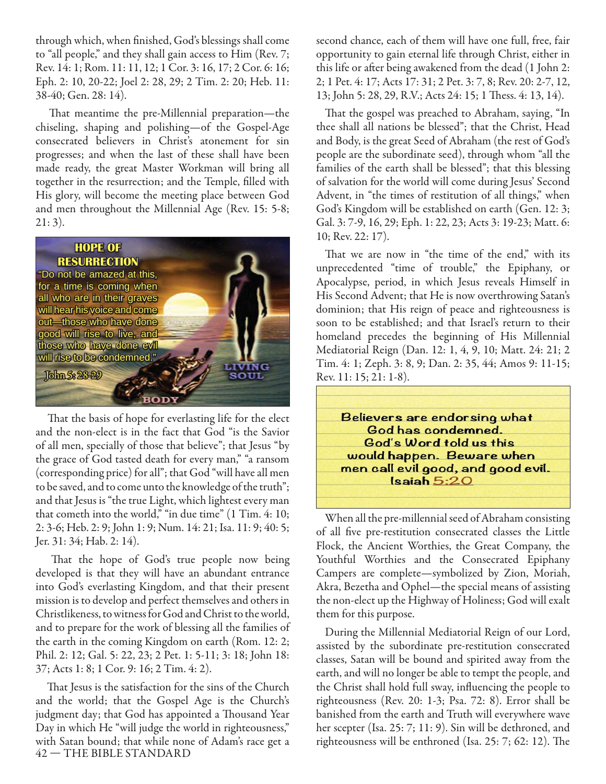through which, when finished, God's blessings shall come to "all people," and they shall gain access to Him (Rev. 7; Rev. 14: 1; Rom. 11: 11, 12; 1 Cor. 3: 16, 17; 2 Cor. 6: 16; Eph. 2: 10, 20-22; Joel 2: 28, 29; 2 Tim. 2: 20; Heb. 11: 38-40; Gen. 28: 14).

That meantime the pre-Millennial preparation—the chiseling, shaping and polishing—of the Gospel-Age consecrated believers in Christ's atonement for sin progresses; and when the last of these shall have been made ready, the great Master Workman will bring all together in the resurrection; and the Temple, filled with His glory, will become the meeting place between God and men throughout the Millennial Age (Rev. 15: 5-8;  $21:3$ ).



That the basis of hope for everlasting life for the elect and the non-elect is in the fact that God "is the Savior of all men, specially of those that believe"; that Jesus "by the grace of God tasted death for every man," "a ransom (corresponding price) for all"; that God "will have all men to be saved, and to come unto the knowledge of the truth"; and that Jesus is "the true Light, which lightest every man that cometh into the world," "in due time" (1 Tim. 4: 10; 2: 3-6; Heb. 2: 9; John 1: 9; Num. 14: 21; Isa. 11: 9; 40: 5; Jer. 31: 34; Hab. 2: 14).

That the hope of God's true people now being developed is that they will have an abundant entrance into God's everlasting Kingdom, and that their present mission is to develop and perfect themselves and others in Christlikeness, to witness for God and Christ to the world, and to prepare for the work of blessing all the families of the earth in the coming Kingdom on earth (Rom. 12: 2; Phil. 2: 12; Gal. 5: 22, 23; 2 Pet. 1: 5-11; 3: 18; John 18: 37; Acts 1: 8; 1 Cor. 9: 16; 2 Tim. 4: 2).

42 — THE BIBLE STANDARD That Jesus is the satisfaction for the sins of the Church and the world; that the Gospel Age is the Church's judgment day; that God has appointed a Thousand Year Day in which He "will judge the world in righteousness," with Satan bound; that while none of Adam's race get a second chance, each of them will have one full, free, fair opportunity to gain eternal life through Christ, either in this life or after being awakened from the dead (1 John 2: 2; 1 Pet. 4: 17; Acts 17: 31; 2 Pet. 3: 7, 8; Rev. 20: 2-7, 12, 13; John 5: 28, 29, R.V.; Acts 24: 15; 1 Thess. 4: 13, 14).

That the gospel was preached to Abraham, saying, "In thee shall all nations be blessed"; that the Christ, Head and Body, is the great Seed of Abraham (the rest of God's people are the subordinate seed), through whom "all the families of the earth shall be blessed"; that this blessing of salvation for the world will come during Jesus' Second Advent, in "the times of restitution of all things," when God's Kingdom will be established on earth (Gen. 12: 3; Gal. 3: 7-9, 16, 29; Eph. 1: 22, 23; Acts 3: 19-23; Matt. 6: 10; Rev. 22: 17).

That we are now in "the time of the end," with its unprecedented "time of trouble," the Epiphany, or Apocalypse, period, in which Jesus reveals Himself in His Second Advent; that He is now overthrowing Satan's dominion; that His reign of peace and righteousness is soon to be established; and that Israel's return to their homeland precedes the beginning of His Millennial Mediatorial Reign (Dan. 12: 1, 4, 9, 10; Matt. 24: 21; 2 Tim. 4: 1; Zeph. 3: 8, 9; Dan. 2: 35, 44; Amos 9: 11-15; Rev. 11: 15; 21: 1-8).



When all the pre-millennial seed of Abraham consisting of all five pre-restitution consecrated classes the Little Flock, the Ancient Worthies, the Great Company, the Youthful Worthies and the Consecrated Epiphany Campers are complete—symbolized by Zion, Moriah, Akra, Bezetha and Ophel—the special means of assisting the non-elect up the Highway of Holiness; God will exalt them for this purpose.

During the Millennial Mediatorial Reign of our Lord, assisted by the subordinate pre-restitution consecrated classes, Satan will be bound and spirited away from the earth, and will no longer be able to tempt the people, and the Christ shall hold full sway, influencing the people to righteousness (Rev. 20: 1-3; Psa. 72: 8). Error shall be banished from the earth and Truth will everywhere wave her scepter (Isa. 25: 7; 11: 9). Sin will be dethroned, and righteousness will be enthroned (Isa. 25: 7; 62: 12). The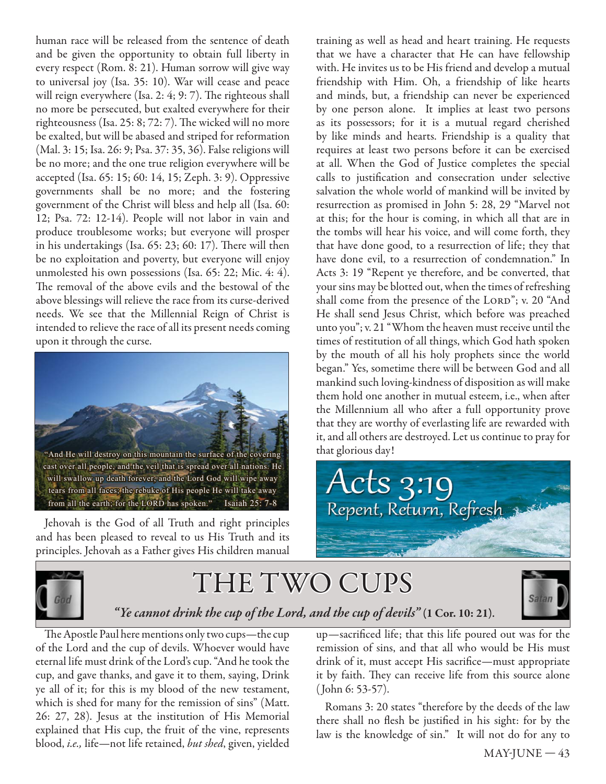human race will be released from the sentence of death and be given the opportunity to obtain full liberty in every respect (Rom. 8: 21). Human sorrow will give way to universal joy (Isa. 35: 10). War will cease and peace will reign everywhere (Isa. 2: 4; 9: 7). The righteous shall no more be persecuted, but exalted everywhere for their righteousness (Isa. 25:  $8$ ;  $72: 7$ ). The wicked will no more be exalted, but will be abased and striped for reformation (Mal. 3: 15; Isa. 26: 9; Psa. 37: 35, 36). False religions will be no more; and the one true religion everywhere will be accepted (Isa. 65: 15; 60: 14, 15; Zeph. 3: 9). Oppressive governments shall be no more; and the fostering government of the Christ will bless and help all (Isa. 60: 12; Psa. 72: 12-14). People will not labor in vain and produce troublesome works; but everyone will prosper in his undertakings (Isa.  $65: 23$ ;  $60: 17$ ). There will then be no exploitation and poverty, but everyone will enjoy unmolested his own possessions (Isa. 65: 22; Mic. 4: 4). The removal of the above evils and the bestowal of the above blessings will relieve the race from its curse-derived needs. We see that the Millennial Reign of Christ is intended to relieve the race of all its present needs coming upon it through the curse.



Jehovah is the God of all Truth and right principles and has been pleased to reveal to us His Truth and its principles. Jehovah as a Father gives His children manual

training as well as head and heart training. He requests that we have a character that He can have fellowship with. He invites us to be His friend and develop a mutual friendship with Him. Oh, a friendship of like hearts and minds, but, a friendship can never be experienced by one person alone. It implies at least two persons as its possessors; for it is a mutual regard cherished by like minds and hearts. Friendship is a quality that requires at least two persons before it can be exercised at all. When the God of Justice completes the special calls to justification and consecration under selective salvation the whole world of mankind will be invited by resurrection as promised in John 5: 28, 29 "Marvel not at this; for the hour is coming, in which all that are in the tombs will hear his voice, and will come forth, they that have done good, to a resurrection of life; they that have done evil, to a resurrection of condemnation." In Acts 3: 19 "Repent ye therefore, and be converted, that your sins may be blotted out, when the times of refreshing shall come from the presence of the LORD"; v. 20 "And He shall send Jesus Christ, which before was preached unto you"; v. 21 "Whom the heaven must receive until the times of restitution of all things, which God hath spoken by the mouth of all his holy prophets since the world began." Yes, sometime there will be between God and all mankind such loving-kindness of disposition as will make them hold one another in mutual esteem, i.e., when after the Millennium all who after a full opportunity prove that they are worthy of everlasting life are rewarded with it, and all others are destroyed. Let us continue to pray for that glorious day!





# THE TWO CUPS



### *"Ye cannot drink the cup of the Lord, and the cup of devils"* **(1 Cor. 10: 21)**.

The Apostle Paul here mentions only two cups—the cup of the Lord and the cup of devils. Whoever would have eternal life must drink of the Lord's cup. "And he took the cup, and gave thanks, and gave it to them, saying, Drink ye all of it; for this is my blood of the new testament, which is shed for many for the remission of sins" (Matt. 26: 27, 28). Jesus at the institution of His Memorial explained that His cup, the fruit of the vine, represents blood, *i.e.,* life—not life retained, *but shed*, given, yielded

up—sacrificed life; that this life poured out was for the remission of sins, and that all who would be His must drink of it, must accept His sacrifice—must appropriate it by faith. They can receive life from this source alone ( John 6: 53-57).

Romans 3: 20 states "therefore by the deeds of the law there shall no flesh be justified in his sight: for by the law is the knowledge of sin." It will not do for any to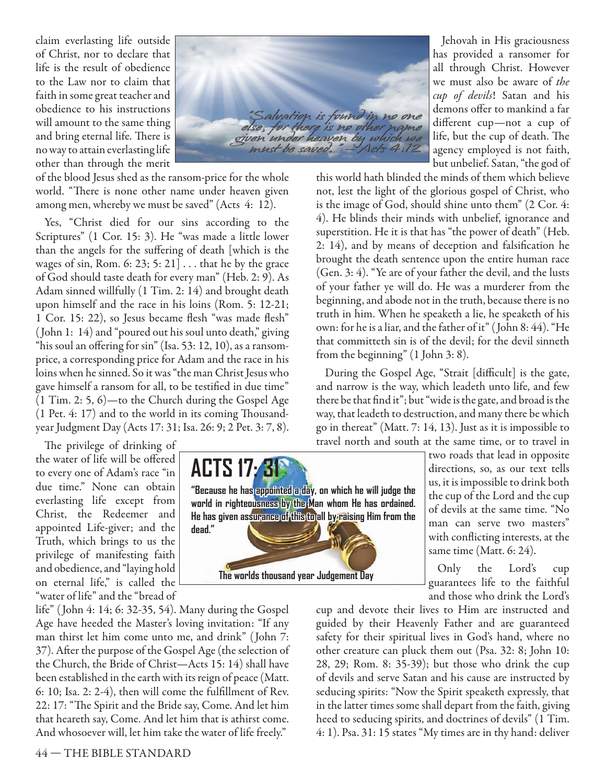claim everlasting life outside of Christ, nor to declare that life is the result of obedience to the Law nor to claim that faith in some great teacher and obedience to his instructions will amount to the same thing and bring eternal life. There is no way to attain everlasting life other than through the merit

"Salvation is found in no one<br>se, for there is no other name given under heaven by which we must be saved.

of the blood Jesus shed as the ransom-price for the whole world. "There is none other name under heaven given among men, whereby we must be saved" (Acts 4: 12).

Yes, "Christ died for our sins according to the Scriptures" (1 Cor. 15: 3). He "was made a little lower than the angels for the suffering of death [which is the wages of sin, Rom. 6: 23; 5: 21] . . . that he by the grace of God should taste death for every man" (Heb. 2: 9). As Adam sinned willfully (1 Tim. 2: 14) and brought death upon himself and the race in his loins (Rom. 5: 12-21; 1 Cor. 15: 22), so Jesus became flesh "was made flesh" ( John 1: 14) and "poured out his soul unto death," giving "his soul an offering for sin" (Isa. 53: 12, 10), as a ransomprice, a corresponding price for Adam and the race in his loins when he sinned. So it was "the man Christ Jesus who gave himself a ransom for all, to be testified in due time" (1 Tim. 2: 5, 6)—to the Church during the Gospel Age  $(1$  Pet. 4: 17) and to the world in its coming Thousandyear Judgment Day (Acts 17: 31; Isa. 26: 9; 2 Pet. 3: 7, 8).

The privilege of drinking of the water of life will be offered to every one of Adam's race "in due time." None can obtain everlasting life except from Christ, the Redeemer and appointed Life-giver; and the Truth, which brings to us the privilege of manifesting faith and obedience, and "laying hold on eternal life," is called the "water of life" and the "bread of

life" ( John 4: 14; 6: 32-35, 54). Many during the Gospel Age have heeded the Master's loving invitation: "If any man thirst let him come unto me, and drink" ( John 7: 37). After the purpose of the Gospel Age (the selection of the Church, the Bride of Christ—Acts 15: 14) shall have been established in the earth with its reign of peace (Matt. 6: 10; Isa. 2: 2-4), then will come the fulfillment of Rev. 22: 17: "The Spirit and the Bride say, Come. And let him that heareth say, Come. And let him that is athirst come. And whosoever will, let him take the water of life freely."



Jehovah in His graciousness has provided a ransomer for all through Christ. However we must also be aware of *the cup of devils*! Satan and his demons offer to mankind a far different cup—not a cup of life, but the cup of death. The agency employed is not faith, but unbelief. Satan, "the god of

this world hath blinded the minds of them which believe not, lest the light of the glorious gospel of Christ, who is the image of God, should shine unto them" (2 Cor. 4: 4). He blinds their minds with unbelief, ignorance and superstition. He it is that has "the power of death" (Heb. 2: 14), and by means of deception and falsification he brought the death sentence upon the entire human race (Gen. 3: 4). "Ye are of your father the devil, and the lusts of your father ye will do. He was a murderer from the beginning, and abode not in the truth, because there is no truth in him. When he speaketh a lie, he speaketh of his own: for he is a liar, and the father of it" ( John 8: 44). "He that committeth sin is of the devil; for the devil sinneth from the beginning" (1 John 3: 8).

During the Gospel Age, "Strait [difficult] is the gate, and narrow is the way, which leadeth unto life, and few there be that find it"; but "wide is the gate, and broad is the way, that leadeth to destruction, and many there be which go in thereat" (Matt. 7: 14, 13). Just as it is impossible to travel north and south at the same time, or to travel in

two roads that lead in opposite directions, so, as our text tells us, it is impossible to drink both the cup of the Lord and the cup of devils at the same time. "No man can serve two masters" with conflicting interests, at the same time (Matt. 6: 24).

Only the Lord's cup guarantees life to the faithful and those who drink the Lord's

cup and devote their lives to Him are instructed and guided by their Heavenly Father and are guaranteed safety for their spiritual lives in God's hand, where no other creature can pluck them out (Psa. 32: 8; John 10: 28, 29; Rom. 8: 35-39); but those who drink the cup of devils and serve Satan and his cause are instructed by seducing spirits: "Now the Spirit speaketh expressly, that in the latter times some shall depart from the faith, giving heed to seducing spirits, and doctrines of devils" (1 Tim. 4: 1). Psa. 31: 15 states "My times are in thy hand: deliver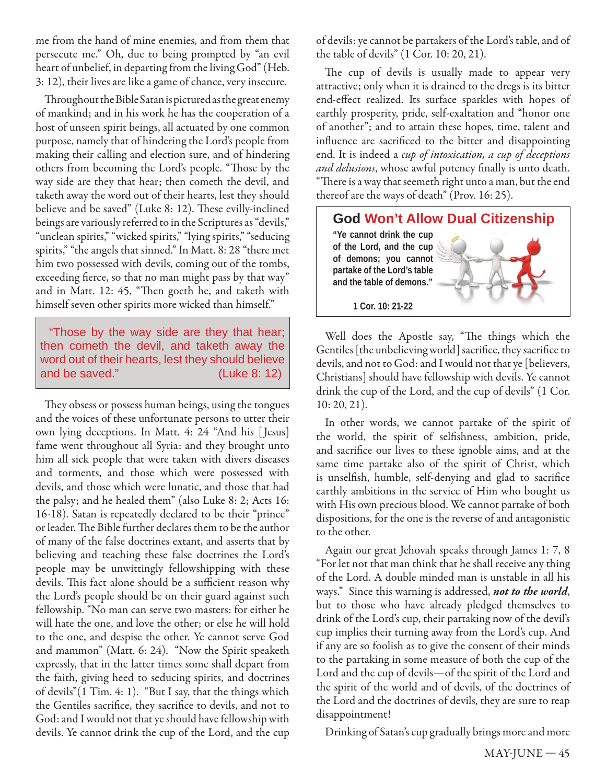me from the hand of mine enemies, and from them that persecute me." Oh, due to being prompted by "an evil heart of unbelief, in departing from the living God" (Heb. 3: 12), their lives are like a game of chance, very insecure.

Throughout the Bible Satan is pictured as the great enemy of mankind; and in his work he has the cooperation of a host of unseen spirit beings, all actuated by one common purpose, namely that of hindering the Lord's people from making their calling and election sure, and of hindering others from becoming the Lord's people. "Those by the way side are they that hear; then cometh the devil, and taketh away the word out of their hearts, lest they should believe and be saved" (Luke 8: 12). These evilly-inclined beings are variously referred to in the Scriptures as "devils," "unclean spirits," "wicked spirits," "lying spirits," "seducing spirits," "the angels that sinned." In Matt. 8: 28 "there met him two possessed with devils, coming out of the tombs, exceeding fierce, so that no man might pass by that way" and in Matt. 12: 45, "Then goeth he, and taketh with himself seven other spirits more wicked than himself."

"Those by the way side are they that hear; then cometh the devil, and taketh away the word out of their hearts, lest they should believe and be saved." (Luke 8: 12)

They obsess or possess human beings, using the tongues and the voices of these unfortunate persons to utter their own lying deceptions. In Matt. 4: 24 "And his [ Jesus] fame went throughout all Syria: and they brought unto him all sick people that were taken with divers diseases and torments, and those which were possessed with devils, and those which were lunatic, and those that had the palsy; and he healed them" (also Luke 8: 2; Acts 16: 16-18). Satan is repeatedly declared to be their "prince" or leader. The Bible further declares them to be the author of many of the false doctrines extant, and asserts that by believing and teaching these false doctrines the Lord's people may be unwittingly fellowshipping with these devils. This fact alone should be a sufficient reason why the Lord's people should be on their guard against such fellowship. "No man can serve two masters: for either he will hate the one, and love the other; or else he will hold to the one, and despise the other. Ye cannot serve God and mammon" (Matt. 6: 24). "Now the Spirit speaketh expressly, that in the latter times some shall depart from the faith, giving heed to seducing spirits, and doctrines of devils"(1 Tim. 4: 1). "But I say, that the things which the Gentiles sacrifice, they sacrifice to devils, and not to God: and I would not that ye should have fellowship with devils. Ye cannot drink the cup of the Lord, and the cup

of devils: ye cannot be partakers of the Lord's table, and of the table of devils" (1 Cor. 10: 20, 21).

The cup of devils is usually made to appear very attractive; only when it is drained to the dregs is its bitter end-effect realized. Its surface sparkles with hopes of earthly prosperity, pride, self-exaltation and "honor one of another"; and to attain these hopes, time, talent and influence are sacrificed to the bitter and disappointing end. It is indeed a *cup of intoxication, a cup of deceptions*  and delusions, whose awful potency finally is unto death. "There is a way that seemeth right unto a man, but the end thereof are the ways of death" (Prov. 16: 25).



Well does the Apostle say, "The things which the Gentiles [the unbelieving world] sacrifice, they sacrifice to devils, and not to God: and I would not that ye [believers, Christians] should have fellowship with devils. Ye cannot drink the cup of the Lord, and the cup of devils" (1 Cor. 10: 20, 21).

In other words, we cannot partake of the spirit of the world, the spirit of selfishness, ambition, pride, and sacrifice our lives to these ignoble aims, and at the same time partake also of the spirit of Christ, which is unselfish, humble, self-denying and glad to sacrifice earthly ambitions in the service of Him who bought us with His own precious blood. We cannot partake of both dispositions, for the one is the reverse of and antagonistic to the other.

Again our great Jehovah speaks through James 1: 7, 8 "For let not that man think that he shall receive any thing of the Lord. A double minded man is unstable in all his ways." Since this warning is addressed, *not to the world*, but to those who have already pledged themselves to drink of the Lord's cup, their partaking now of the devil's cup implies their turning away from the Lord's cup. And if any are so foolish as to give the consent of their minds to the partaking in some measure of both the cup of the Lord and the cup of devils—of the spirit of the Lord and the spirit of the world and of devils, of the doctrines of the Lord and the doctrines of devils, they are sure to reap disappointment!

Drinking of Satan's cup gradually brings more and more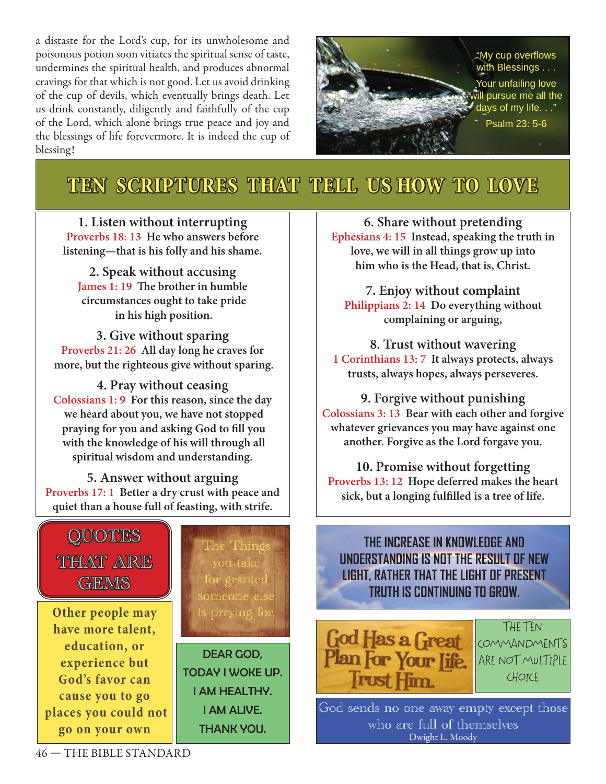a distaste for the Lord's cup, for its unwholesome and poisonous potion soon vitiates the spiritual sense of taste, undermines the spiritual health, and produces abnormal cravings for that which is not good. Let us avoid drinking of the cup of devils, which eventually brings death. Let us drink constantly, diligently and faithfully of the cup of the Lord, which alone brings true peace and joy and the blessings of life forevermore. It is indeed the cup of blessing!



# **TEN SCRIPTURES THAT TELL US HOW TO LOVE**

**1. Listen without interrupting Proverbs 18: 13 He who answers before listening—that is his folly and his shame.**

**2. Speak without accusing James 1: 19 The brother in humble circumstances ought to take pride in his high position.**

**3. Give without sparing Proverbs 21: 26 All day long he craves for more, but the righteous give without sparing.**

**4. Pray without ceasing Colossians 1: 9 For this reason, since the day we heard about you, we have not stopped** praying for you and asking God to fill you  **with the knowledge of his will through all spiritual wisdom and understanding.**

**5. Answer without arguing Proverbs 17: 1 Better a dry crust with peace and quiet than a house full of feasting, with strife.**



**6. Share without pretending Ephesians 4: 15 Instead, speaking the truth in love, we will in all things grow up into him who is the Head, that is, Christ.**

**7. Enjoy without complaint Philippians 2: 14 Do everything without complaining or arguing,**

**8. Trust without wavering 1 Corinthians 13: 7 It always protects, always trusts, always hopes, always perseveres.**

**9. Forgive without punishing Colossians 3: 13 Bear with each other and forgive whatever grievances you may have against one another. Forgive as the Lord forgave you.**

**10. Promise without forgetting Proverbs 13: 12 Hope deferred makes the heart**  sick, but a longing fulfilled is a tree of life.

# **THE INCREASE IN KNOWLEDGE AND UNDERSTANDING IS NOT THE RESULT OF NEW LIGHT, RATHER THAT THE LIGHT OF PRESENT TRUTH IS CONTINUING TO GROW.**



God sends no one away empty except those who are full of themselves Dwight L. Moody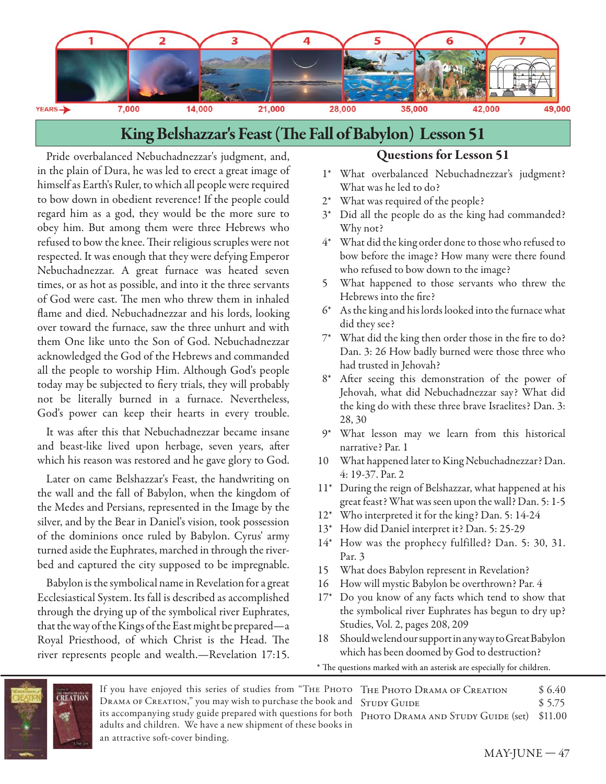

# King Belshazzar's Feast (The Fall of Babylon) Lesson 51

Pride overbalanced Nebuchadnezzar's judgment, and, in the plain of Dura, he was led to erect a great image of himself as Earth's Ruler, to which all people were required to bow down in obedient reverence! If the people could regard him as a god, they would be the more sure to obey him. But among them were three Hebrews who refused to bow the knee. Their religious scruples were not respected. It was enough that they were defying Emperor Nebuchadnezzar. A great furnace was heated seven times, or as hot as possible, and into it the three servants of God were cast. The men who threw them in inhaled flame and died. Nebuchadnezzar and his lords, looking over toward the furnace, saw the three unhurt and with them One like unto the Son of God. Nebuchadnezzar acknowledged the God of the Hebrews and commanded all the people to worship Him. Although God's people today may be subjected to fiery trials, they will probably not be literally burned in a furnace. Nevertheless, God's power can keep their hearts in every trouble.

It was after this that Nebuchadnezzar became insane and beast-like lived upon herbage, seven years, after which his reason was restored and he gave glory to God.

Later on came Belshazzar's Feast, the handwriting on the wall and the fall of Babylon, when the kingdom of the Medes and Persians, represented in the Image by the silver, and by the Bear in Daniel's vision, took possession of the dominions once ruled by Babylon. Cyrus' army turned aside the Euphrates, marched in through the riverbed and captured the city supposed to be impregnable.

Babylon is the symbolical name in Revelation for a great Ecclesiastical System. Its fall is described as accomplished through the drying up of the symbolical river Euphrates, that the way of the Kings of the East might be prepared—a Royal Priesthood, of which Christ is the Head. The river represents people and wealth.—Revelation 17:15.

### **Questions for Lesson 51**

- 1\* What overbalanced Nebuchadnezzar's judgment? What was he led to do?
- 2\* What was required of the people?
- 3\* Did all the people do as the king had commanded? Why not?
- 4\* What did the king order done to those who refused to bow before the image? How many were there found who refused to bow down to the image?
- 5 What happened to those servants who threw the Hebrews into the fire?
- 6\* As the king and his lords looked into the furnace what did they see?
- $7^*$  What did the king then order those in the fire to do? Dan. 3: 26 How badly burned were those three who had trusted in Jehovah?
- 8\* After seeing this demonstration of the power of Jehovah, what did Nebuchadnezzar say? What did the king do with these three brave Israelites? Dan. 3: 28, 30
- 9\* What lesson may we learn from this historical narrative? Par. 1
- 10 What happened later to King Nebuchadnezzar? Dan. 4: 19-37. Par. 2
- 11\* During the reign of Belshazzar, what happened at his great feast? What was seen upon the wall? Dan. 5: 1-5
- 12\* Who interpreted it for the king? Dan. 5: 14-24
- 13\* How did Daniel interpret it? Dan. 5: 25-29
- 14\* How was the prophecy fulfilled? Dan. 5: 30, 31. Par. 3
- 15 What does Babylon represent in Revelation?
- 16 How will mystic Babylon be overthrown? Par. 4
- 17\* Do you know of any facts which tend to show that the symbolical river Euphrates has begun to dry up? Studies, Vol. 2, pages 208, 209
- 18 Should we lend our support in any way to Great Babylon which has been doomed by God to destruction?
- \* The questions marked with an asterisk are especially for children.



If you have enjoyed this series of studies from "Тне Рното Тне Рното Drama ог Creation \$ 6.40 Drama of Creation," you may wish to purchase the book and STUDY GUIDE \$5.75 its accompanying study guide prepared with questions for both PHOTO DRAMA AND STUDY GUIDE (set) \$11.00 adults and children. We have a new shipment of these books in an attractive soft-cover binding.